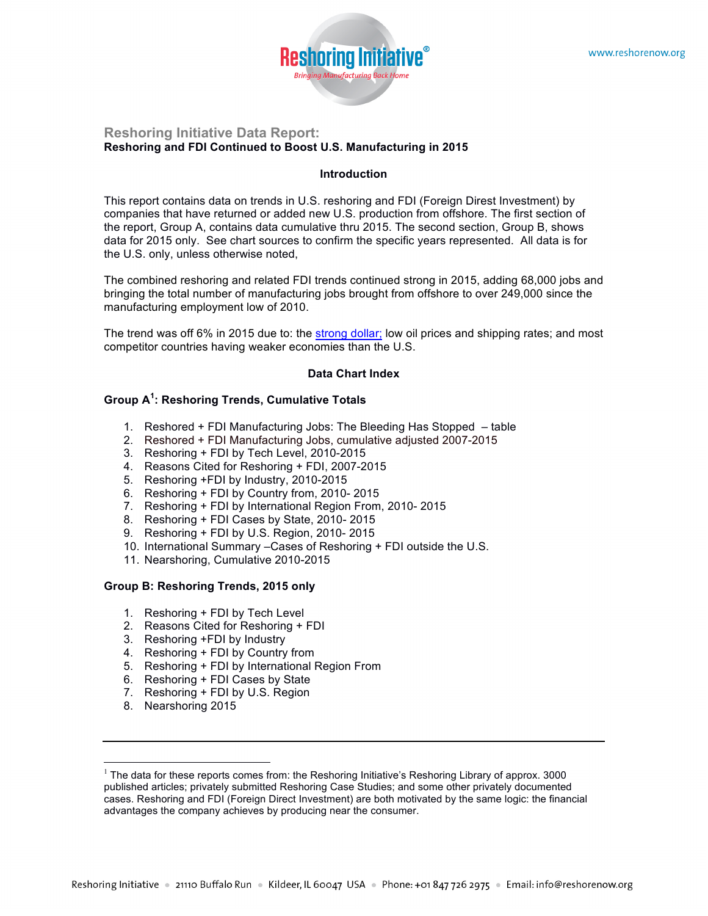

#### **Reshoring Initiative Data Report: Reshoring and FDI Continued to Boost U.S. Manufacturing in 2015**

#### **Introduction**

This report contains data on trends in U.S. reshoring and FDI (Foreign Direst Investment) by companies that have returned or added new U.S. production from offshore. The first section of the report, Group A, contains data cumulative thru 2015. The second section, Group B, shows data for 2015 only. See chart sources to confirm the specific years represented. All data is for the U.S. only, unless otherwise noted,

The combined reshoring and related FDI trends continued strong in 2015, adding 68,000 jobs and bringing the total number of manufacturing jobs brought from offshore to over 249,000 since the manufacturing employment low of 2010.

The trend was off 6% in 2015 due to: the strong dollar; low oil prices and shipping rates; and most competitor countries having weaker economies than the U.S.

#### **Data Chart Index**

# **Group A<sup>1</sup> : Reshoring Trends, Cumulative Totals**

- 1. Reshored + FDI Manufacturing Jobs: The Bleeding Has Stopped table
- 2. Reshored + FDI Manufacturing Jobs, cumulative adjusted 2007-2015
- 3. Reshoring + FDI by Tech Level, 2010-2015
- 4. Reasons Cited for Reshoring + FDI, 2007-2015
- 5. Reshoring +FDI by Industry, 2010-2015
- 6. Reshoring + FDI by Country from, 2010- 2015
- 7. Reshoring + FDI by International Region From, 2010- 2015
- 8. Reshoring + FDI Cases by State, 2010- 2015
- 9. Reshoring + FDI by U.S. Region, 2010- 2015
- 10. International Summary –Cases of Reshoring + FDI outside the U.S.
- 11. Nearshoring, Cumulative 2010-2015

#### **Group B: Reshoring Trends, 2015 only**

- 1. Reshoring + FDI by Tech Level
- 2. Reasons Cited for Reshoring + FDI
- 3. Reshoring +FDI by Industry
- 4. Reshoring + FDI by Country from
- 5. Reshoring + FDI by International Region From
- 6. Reshoring + FDI Cases by State
- 7. Reshoring + FDI by U.S. Region
- 8. Nearshoring 2015

 $1$  The data for these reports comes from: the Reshoring Initiative's Reshoring Library of approx. 3000 published articles; privately submitted Reshoring Case Studies; and some other privately documented cases. Reshoring and FDI (Foreign Direct Investment) are both motivated by the same logic: the financial advantages the company achieves by producing near the consumer.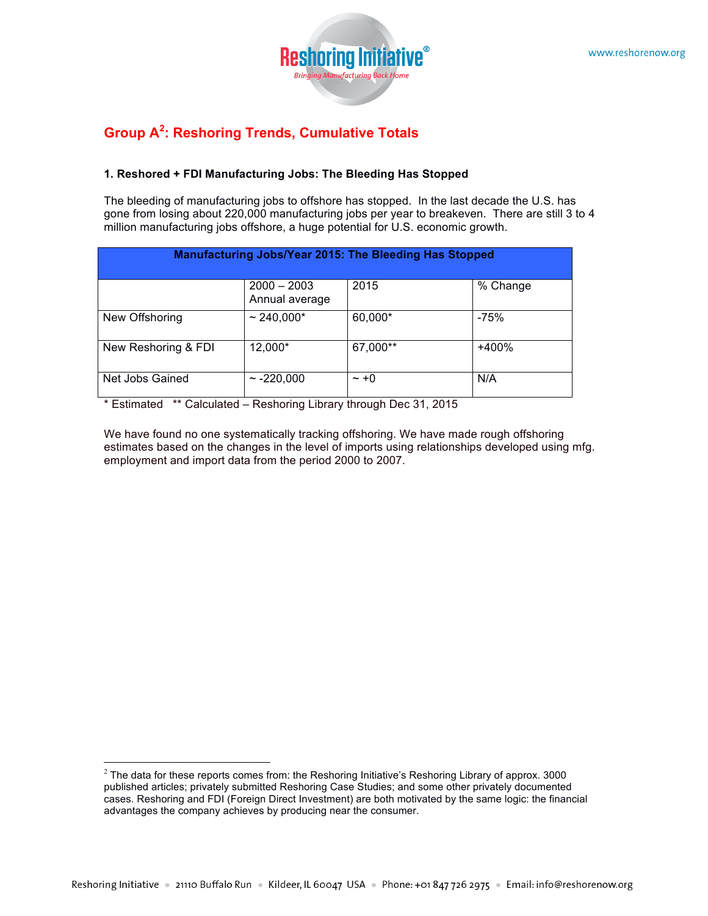

# **Group A<sup>2</sup> : Reshoring Trends, Cumulative Totals**

## **1. Reshored + FDI Manufacturing Jobs: The Bleeding Has Stopped**

The bleeding of manufacturing jobs to offshore has stopped. In the last decade the U.S. has gone from losing about 220,000 manufacturing jobs per year to breakeven. There are still 3 to 4 million manufacturing jobs offshore, a huge potential for U.S. economic growth.

| <b>Manufacturing Jobs/Year 2015: The Bleeding Has Stopped</b> |                                 |           |          |  |  |
|---------------------------------------------------------------|---------------------------------|-----------|----------|--|--|
|                                                               | $2000 - 2003$<br>Annual average | 2015      | % Change |  |  |
| New Offshoring                                                | $~240,000*$                     | 60,000*   | $-75%$   |  |  |
| New Reshoring & FDI                                           | 12,000*                         | 67,000**  | $+400%$  |  |  |
| Net Jobs Gained                                               | $\sim$ -220,000                 | $\sim +0$ | N/A      |  |  |

\* Estimated \*\* Calculated – Reshoring Library through Dec 31, 2015

We have found no one systematically tracking offshoring. We have made rough offshoring estimates based on the changes in the level of imports using relationships developed using mfg. employment and import data from the period 2000 to 2007.

 $2$  The data for these reports comes from: the Reshoring Initiative's Reshoring Library of approx. 3000 published articles; privately submitted Reshoring Case Studies; and some other privately documented cases. Reshoring and FDI (Foreign Direct Investment) are both motivated by the same logic: the financial advantages the company achieves by producing near the consumer.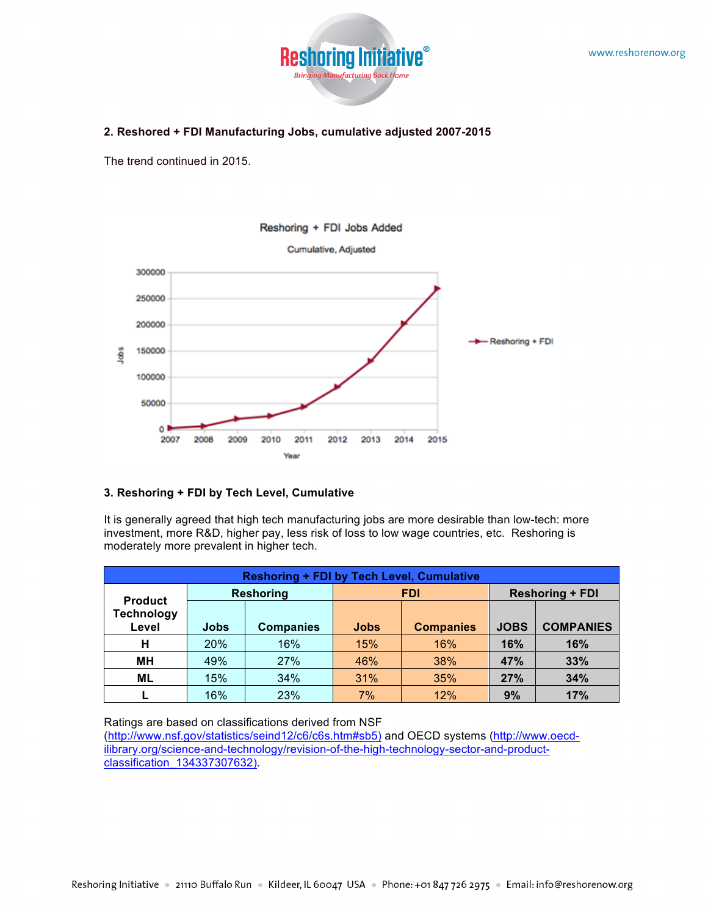

#### **2. Reshored + FDI Manufacturing Jobs, cumulative adjusted 2007-2015**

The trend continued in 2015.



#### **3. Reshoring + FDI by Tech Level, Cumulative**

It is generally agreed that high tech manufacturing jobs are more desirable than low-tech: more investment, more R&D, higher pay, less risk of loss to low wage countries, etc. Reshoring is moderately more prevalent in higher tech.

| <b>Reshoring + FDI by Tech Level, Cumulative</b> |                                |                  |                                 |     |             |                  |
|--------------------------------------------------|--------------------------------|------------------|---------------------------------|-----|-------------|------------------|
| <b>Product</b>                                   | <b>Reshoring</b><br><b>FDI</b> |                  | <b>Reshoring + FDI</b>          |     |             |                  |
| <b>Technology</b><br>Level                       | <b>Jobs</b>                    | <b>Companies</b> | <b>Jobs</b><br><b>Companies</b> |     | <b>JOBS</b> | <b>COMPANIES</b> |
| н                                                | 20%                            | 16%              | 15%                             | 16% | 16%         | <b>16%</b>       |
| MН                                               | 49%                            | 27%              | 46%                             | 38% | <b>47%</b>  | 33%              |
| ML                                               | 15%                            | 34%              | 31%                             | 35% | 27%         | 34%              |
|                                                  | 16%                            | 23%              | 7%                              | 12% | 9%          | 17%              |

Ratings are based on classifications derived from NSF

(http://www.nsf.gov/statistics/seind12/c6/c6s.htm#sb5) and OECD systems (http://www.oecdilibrary.org/science-and-technology/revision-of-the-high-technology-sector-and-productclassification\_134337307632).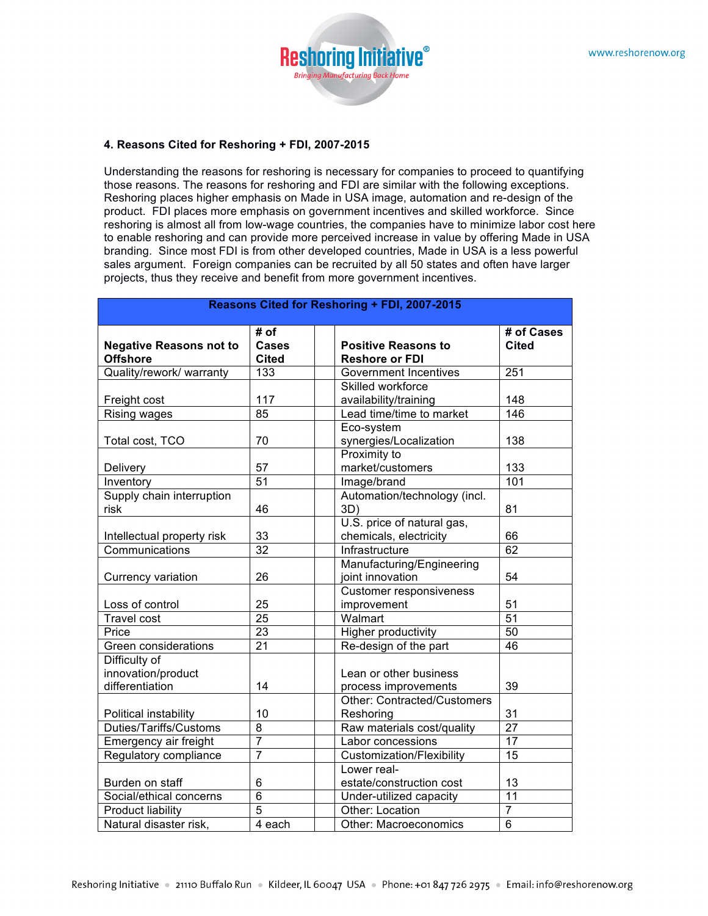

#### **4. Reasons Cited for Reshoring + FDI, 2007-2015**

Understanding the reasons for reshoring is necessary for companies to proceed to quantifying those reasons. The reasons for reshoring and FDI are similar with the following exceptions. Reshoring places higher emphasis on Made in USA image, automation and re-design of the product. FDI places more emphasis on government incentives and skilled workforce. Since reshoring is almost all from low-wage countries, the companies have to minimize labor cost here to enable reshoring and can provide more perceived increase in value by offering Made in USA branding. Since most FDI is from other developed countries, Made in USA is a less powerful sales argument. Foreign companies can be recruited by all 50 states and often have larger projects, thus they receive and benefit from more government incentives.

| Reasons Cited for Reshoring + FDI, 2007-2015           |                               |                                                      |                     |  |
|--------------------------------------------------------|-------------------------------|------------------------------------------------------|---------------------|--|
| <b>Negative Reasons not to</b><br><b>Offshore</b>      | # of<br><b>Cases</b><br>Cited | <b>Positive Reasons to</b><br><b>Reshore or FDI</b>  | # of Cases<br>Cited |  |
| Quality/rework/ warranty                               | 133                           | <b>Government Incentives</b>                         | 251                 |  |
| Freight cost                                           | 117                           | Skilled workforce<br>availability/training           | 148                 |  |
| Rising wages                                           | $\overline{85}$               | Lead time/time to market                             | $\overline{146}$    |  |
| Total cost, TCO                                        | 70                            | Eco-system<br>synergies/Localization                 | 138                 |  |
| Delivery                                               | 57                            | Proximity to<br>market/customers                     | 133                 |  |
| Inventory                                              | 51                            | Image/brand                                          | 101                 |  |
| Supply chain interruption<br>risk                      | 46                            | Automation/technology (incl.<br>3D)                  | 81                  |  |
| Intellectual property risk                             | 33                            | U.S. price of natural gas,<br>chemicals, electricity | 66                  |  |
| Communications                                         | 32                            | Infrastructure                                       | 62                  |  |
| Currency variation                                     | 26                            | Manufacturing/Engineering<br>joint innovation        | 54                  |  |
| Loss of control                                        | 25                            | <b>Customer responsiveness</b><br>improvement        | 51                  |  |
| <b>Travel cost</b>                                     | $\overline{25}$               | Walmart                                              | $\overline{51}$     |  |
| Price                                                  | $\overline{23}$               | Higher productivity                                  | 50                  |  |
| Green considerations                                   | $\overline{21}$               | Re-design of the part                                | $\overline{46}$     |  |
| Difficulty of<br>innovation/product<br>differentiation | 14                            | Lean or other business<br>process improvements       | 39                  |  |
| Political instability                                  | 10                            | <b>Other: Contracted/Customers</b><br>Reshoring      | 31                  |  |
| Duties/Tariffs/Customs                                 | 8                             | Raw materials cost/quality                           | $\overline{27}$     |  |
| Emergency air freight                                  | $\overline{7}$                | Labor concessions                                    | 17                  |  |
| Regulatory compliance                                  | $\overline{7}$                | <b>Customization/Flexibility</b>                     | 15                  |  |
| Burden on staff                                        | 6                             | Lower real-<br>estate/construction cost              | 13                  |  |
| Social/ethical concerns                                | 6                             | Under-utilized capacity                              | $\overline{11}$     |  |
| <b>Product liability</b>                               | $\overline{5}$                | Other: Location                                      | $\overline{7}$      |  |
| Natural disaster risk,                                 | 4 each                        | <b>Other: Macroeconomics</b>                         | $\overline{6}$      |  |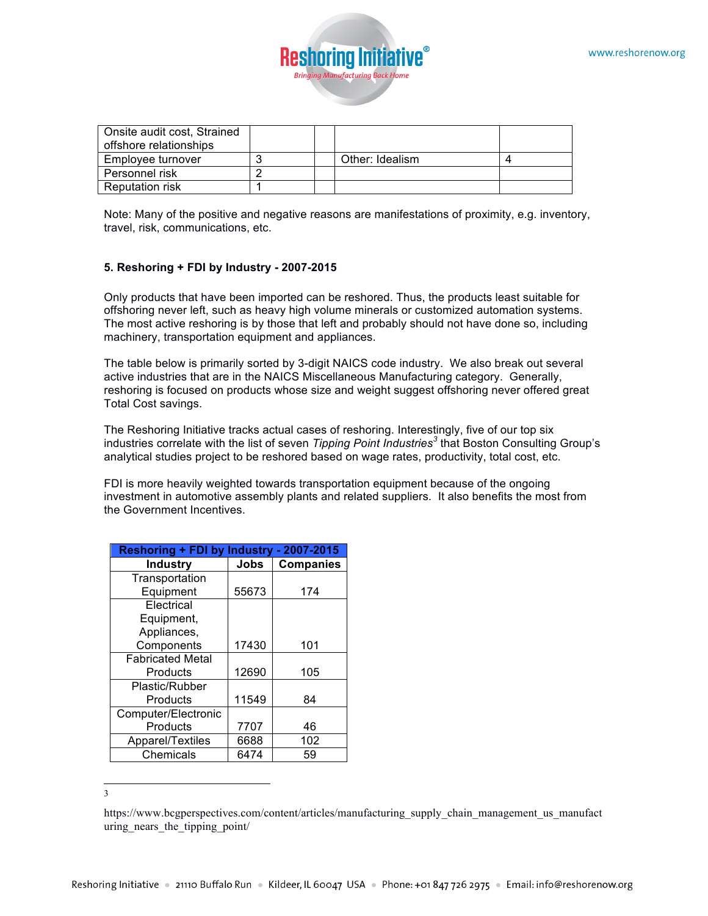

| Onsite audit cost, Strained |  |                 |  |
|-----------------------------|--|-----------------|--|
| offshore relationships      |  |                 |  |
| Employee turnover           |  | Other: Idealism |  |
| Personnel risk              |  |                 |  |
| <b>Reputation risk</b>      |  |                 |  |

Note: Many of the positive and negative reasons are manifestations of proximity, e.g. inventory, travel, risk, communications, etc.

#### **5. Reshoring + FDI by Industry - 2007-2015**

Only products that have been imported can be reshored. Thus, the products least suitable for offshoring never left, such as heavy high volume minerals or customized automation systems. The most active reshoring is by those that left and probably should not have done so, including machinery, transportation equipment and appliances.

The table below is primarily sorted by 3-digit NAICS code industry. We also break out several active industries that are in the NAICS Miscellaneous Manufacturing category. Generally, reshoring is focused on products whose size and weight suggest offshoring never offered great Total Cost savings.

The Reshoring Initiative tracks actual cases of reshoring. Interestingly, five of our top six industries correlate with the list of seven *Tipping Point Industries<sup>3</sup>* that Boston Consulting Group's analytical studies project to be reshored based on wage rates, productivity, total cost, etc.

FDI is more heavily weighted towards transportation equipment because of the ongoing investment in automotive assembly plants and related suppliers. It also benefits the most from the Government Incentives.

| <b>Reshoring + FDI by Industry</b><br>- 2007-2015 |       |                  |  |  |
|---------------------------------------------------|-------|------------------|--|--|
| <b>Industry</b>                                   | Jobs  | <b>Companies</b> |  |  |
| Transportation                                    |       |                  |  |  |
| Equipment                                         | 55673 | 174              |  |  |
| Electrical                                        |       |                  |  |  |
| Equipment,                                        |       |                  |  |  |
| Appliances,                                       |       |                  |  |  |
| Components                                        | 17430 | 101              |  |  |
| <b>Fabricated Metal</b>                           |       |                  |  |  |
| Products                                          | 12690 | 105              |  |  |
| Plastic/Rubber                                    |       |                  |  |  |
| Products                                          | 11549 | 84               |  |  |
| Computer/Electronic                               |       |                  |  |  |
| Products                                          | 7707  | 46               |  |  |
| Apparel/Textiles                                  | 6688  | 102              |  |  |
| Chemicals                                         | 6474  | 59               |  |  |

3

https://www.bcgperspectives.com/content/articles/manufacturing\_supply\_chain\_management\_us\_manufact uring nears the tipping point/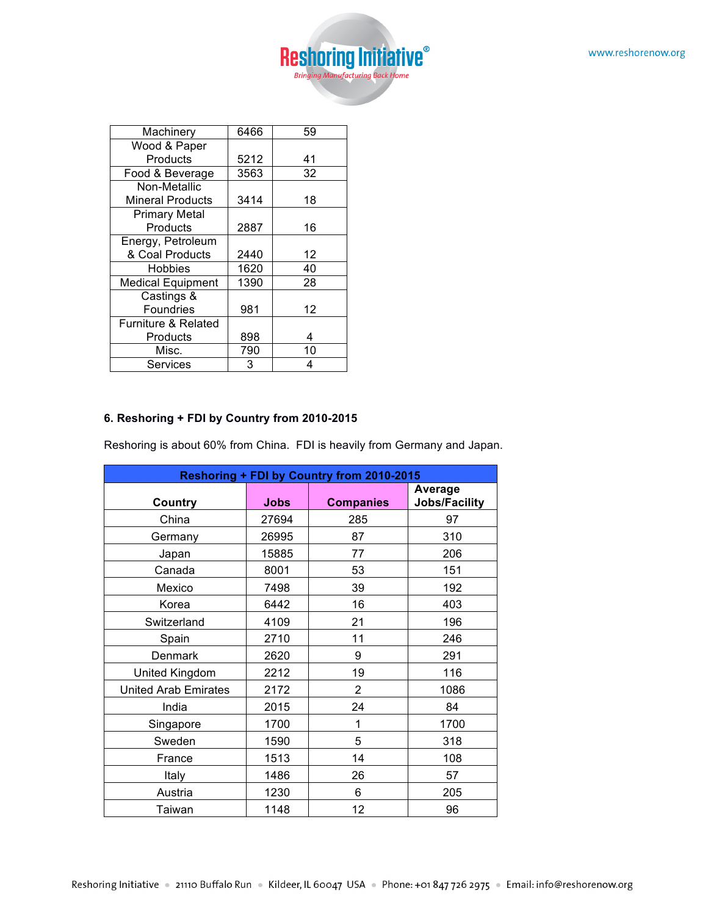

| Machinery                | 6466 | 59 |
|--------------------------|------|----|
| Wood & Paper             |      |    |
| Products                 | 5212 | 41 |
| Food & Beverage          | 3563 | 32 |
| Non-Metallic             |      |    |
| <b>Mineral Products</b>  | 3414 | 18 |
| <b>Primary Metal</b>     |      |    |
| Products                 | 2887 | 16 |
| Energy, Petroleum        |      |    |
| & Coal Products          | 2440 | 12 |
| Hobbies                  | 1620 | 40 |
| <b>Medical Equipment</b> | 1390 | 28 |
| Castings &               |      |    |
| Foundries                | 981  | 12 |
| Furniture & Related      |      |    |
| Products                 | 898  | 4  |
| Misc.                    | 790  | 10 |
| Services                 | 3    | 4  |

## **6. Reshoring + FDI by Country from 2010-2015**

Reshoring is about 60% from China. FDI is heavily from Germany and Japan.

| <b>Reshoring + FDI by Country from 2010-2015</b> |             |                  |                                 |  |  |
|--------------------------------------------------|-------------|------------------|---------------------------------|--|--|
| Country                                          | <b>Jobs</b> | <b>Companies</b> | <b>Average</b><br>Jobs/Facility |  |  |
| China                                            | 27694       | 285              | 97                              |  |  |
| Germany                                          | 26995       | 87               | 310                             |  |  |
| Japan                                            | 15885       | 77               | 206                             |  |  |
| Canada                                           | 8001        | 53               | 151                             |  |  |
| Mexico                                           | 7498        | 39               | 192                             |  |  |
| Korea                                            | 6442        | 16               | 403                             |  |  |
| Switzerland                                      | 4109        | 21               | 196                             |  |  |
| Spain                                            | 2710        | 11               | 246                             |  |  |
| Denmark                                          | 2620        | 9                | 291                             |  |  |
| United Kingdom                                   | 2212        | 19               | 116                             |  |  |
| <b>United Arab Emirates</b>                      | 2172        | $\overline{2}$   | 1086                            |  |  |
| India                                            | 2015        | 24               | 84                              |  |  |
| Singapore                                        | 1700        | 1                | 1700                            |  |  |
| Sweden                                           | 1590        | 5                | 318                             |  |  |
| France                                           | 1513        | 14               | 108                             |  |  |
| Italy                                            | 1486        | 26               | 57                              |  |  |
| Austria                                          | 1230        | 6                | 205                             |  |  |
| Taiwan                                           | 1148        | 12               | 96                              |  |  |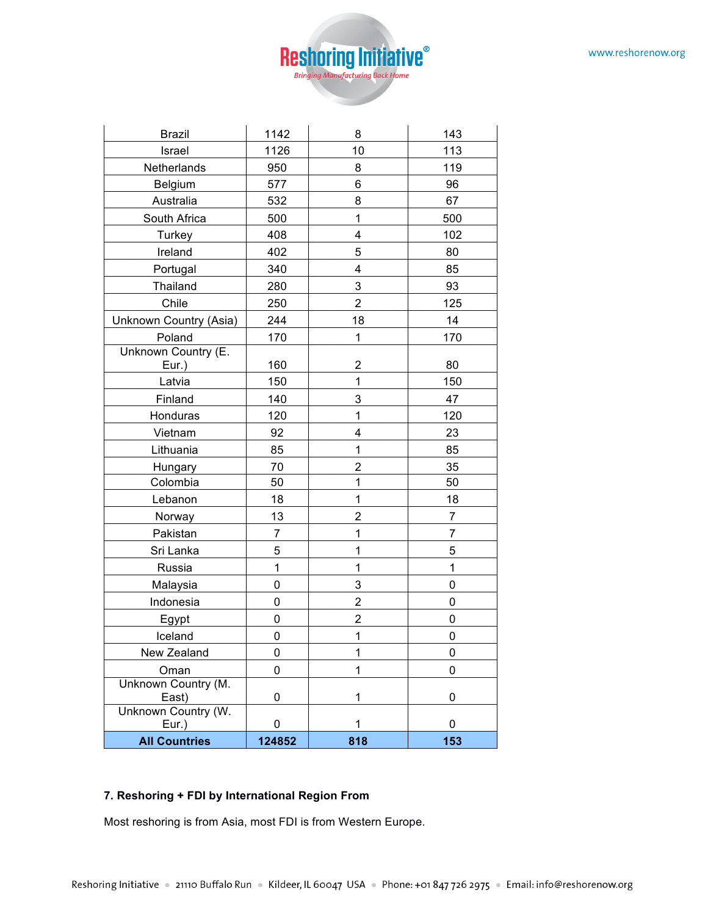

| <b>Brazil</b>                | 1142           | 8              | 143            |
|------------------------------|----------------|----------------|----------------|
| Israel                       | 1126           | 10             | 113            |
| Netherlands                  | 950            | 8              | 119            |
| Belgium                      | 577            | 6              | 96             |
| Australia                    | 532            | 8              | 67             |
| South Africa                 | 500            | $\mathbf 1$    | 500            |
| Turkey                       | 408            | 4              | 102            |
| Ireland                      | 402            | 5              | 80             |
| Portugal                     | 340            | 4              | 85             |
| Thailand                     | 280            | 3              | 93             |
| Chile                        | 250            | $\overline{2}$ | 125            |
| Unknown Country (Asia)       | 244            | 18             | 14             |
| Poland                       | 170            | $\mathbf 1$    | 170            |
| Unknown Country (E.          |                |                |                |
| Eur.)                        | 160            | $\overline{2}$ | 80             |
| Latvia                       | 150            | $\mathbf 1$    | 150            |
| Finland                      | 140            | 3              | 47             |
| Honduras                     | 120            | $\mathbf 1$    | 120            |
| Vietnam                      | 92             | 4              | 23             |
| Lithuania                    | 85             | 1              | 85             |
| Hungary                      | 70             | 2              | 35             |
| Colombia                     | 50             | $\mathbf{1}$   | 50             |
| Lebanon                      | 18             | $\mathbf{1}$   | 18             |
| Norway                       | 13             | $\overline{2}$ | $\overline{7}$ |
| Pakistan                     | $\overline{7}$ | 1              | $\overline{7}$ |
| Sri Lanka                    | 5              | 1              | 5              |
| Russia                       | $\mathbf 1$    | $\mathbf 1$    | 1              |
| Malaysia                     | $\mathsf 0$    | 3              | 0              |
| Indonesia                    | 0              | $\overline{2}$ | 0              |
| Egypt                        | $\mathbf 0$    | $\overline{c}$ | 0              |
| Iceland                      | 0              | $\mathbf 1$    | 0              |
| New Zealand                  | 0              | 1              | 0              |
| Oman                         | 0              | $\mathbf{1}$   | 0              |
| Unknown Country (M.<br>East) | 0              | 1              | 0              |
| Unknown Country (W.<br>Eur.) | 0              | 1              | 0              |
| <b>All Countries</b>         | 124852         | 818            | 153            |

# **7. Reshoring + FDI by International Region From**

Most reshoring is from Asia, most FDI is from Western Europe.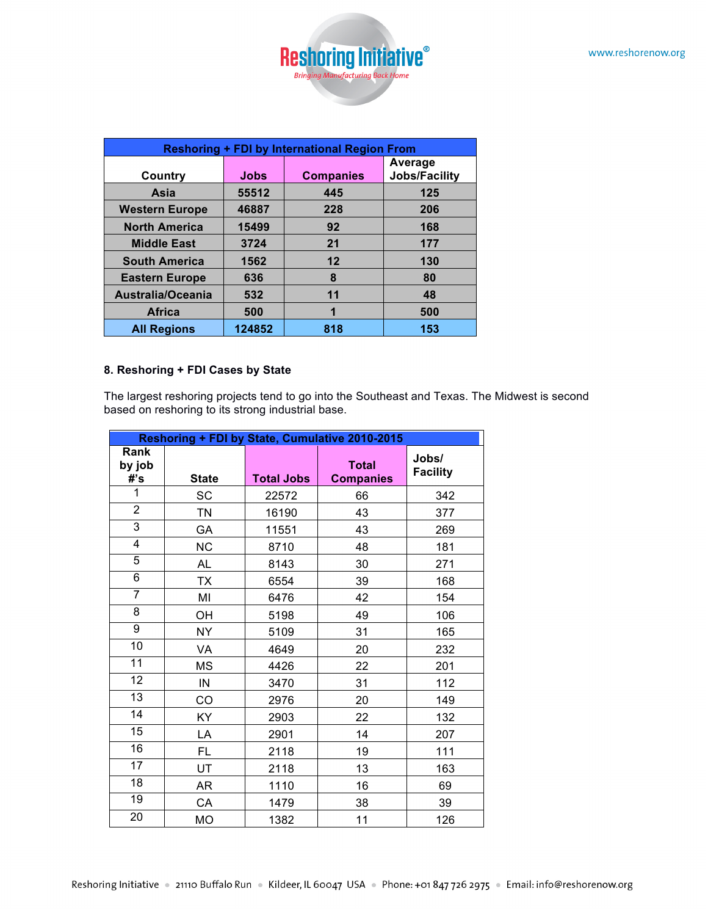

| <b>Reshoring + FDI by International Region From</b> |             |                  |                      |  |  |
|-----------------------------------------------------|-------------|------------------|----------------------|--|--|
|                                                     |             |                  | Average              |  |  |
| Country                                             | <b>Jobs</b> | <b>Companies</b> | <b>Jobs/Facility</b> |  |  |
| Asia                                                | 55512       | 445              | 125                  |  |  |
| <b>Western Europe</b>                               | 46887       | 228              | 206                  |  |  |
| <b>North America</b>                                | 15499       | 92               | 168                  |  |  |
| <b>Middle East</b>                                  | 3724        | 21               | 177                  |  |  |
| <b>South America</b>                                | 1562        | 12               | 130                  |  |  |
| <b>Eastern Europe</b>                               | 636         | 8                | 80                   |  |  |
| Australia/Oceania                                   | 532         | 11               | 48                   |  |  |
| <b>Africa</b>                                       | 500         | 1                | 500                  |  |  |
| <b>All Regions</b>                                  | 124852      | 818              | 153                  |  |  |

#### **8. Reshoring + FDI Cases by State**

The largest reshoring projects tend to go into the Southeast and Texas. The Midwest is second based on reshoring to its strong industrial base.

| Reshoring + FDI by State, Cumulative 2010-2015 |              |                   |                                  |                          |  |
|------------------------------------------------|--------------|-------------------|----------------------------------|--------------------------|--|
| Rank<br>by job<br>#'s                          | <b>State</b> | <b>Total Jobs</b> | <b>Total</b><br><b>Companies</b> | Jobs/<br><b>Facility</b> |  |
| 1                                              | SC           | 22572             | 66                               | 342                      |  |
| $\overline{2}$                                 | <b>TN</b>    | 16190             | 43                               | 377                      |  |
| $\overline{3}$                                 | GA           | 11551             | 43                               | 269                      |  |
| $\overline{4}$                                 | <b>NC</b>    | 8710              | 48                               | 181                      |  |
| 5                                              | AL           | 8143              | 30                               | 271                      |  |
| 6                                              | <b>TX</b>    | 6554              | 39                               | 168                      |  |
| $\overline{7}$                                 | MI           | 6476              | 42                               | 154                      |  |
| $\overline{8}$                                 | OН           | 5198              | 49                               | 106                      |  |
| 9                                              | <b>NY</b>    | 5109              | 31                               | 165                      |  |
| 10                                             | VA           | 4649              | 20                               | 232                      |  |
| 11                                             | <b>MS</b>    | 4426              | 22                               | 201                      |  |
| 12                                             | IN           | 3470              | 31                               | 112                      |  |
| $\overline{13}$                                | CO           | 2976              | 20                               | 149                      |  |
| 14                                             | KY           | 2903              | 22                               | 132                      |  |
| 15                                             | LA           | 2901              | 14                               | 207                      |  |
| 16                                             | FL.          | 2118              | 19                               | 111                      |  |
| 17                                             | UT           | 2118              | 13                               | 163                      |  |
| 18                                             | AR           | 1110              | 16                               | 69                       |  |
| 19                                             | CA           | 1479              | 38                               | 39                       |  |
| 20                                             | <b>MO</b>    | 1382              | 11                               | 126                      |  |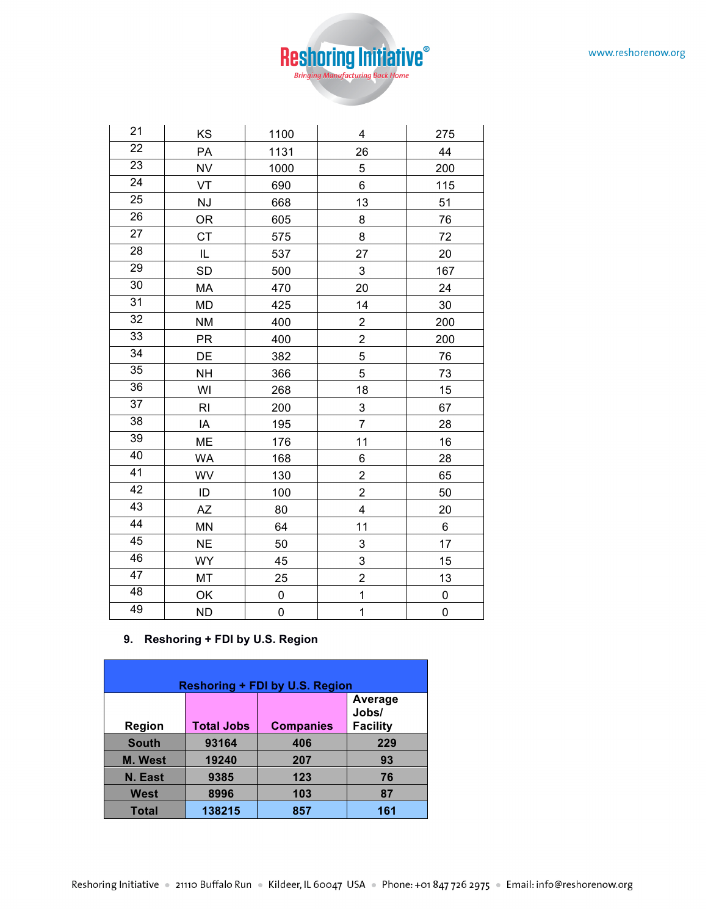

| 21              | KS             | 1100        | 4                       | 275         |
|-----------------|----------------|-------------|-------------------------|-------------|
| $\overline{22}$ | PA             | 1131        | 26                      | 44          |
| $\overline{23}$ | <b>NV</b>      | 1000        | 5                       | 200         |
| $\overline{24}$ | VT             | 690         | 6                       | 115         |
| 25              | NJ             | 668         | 13                      | 51          |
| 26              | <b>OR</b>      | 605         | 8                       | 76          |
| $\overline{27}$ | <b>CT</b>      | 575         | 8                       | 72          |
| 28              | IL             | 537         | 27                      | 20          |
| 29              | <b>SD</b>      | 500         | 3                       | 167         |
| $\overline{30}$ | <b>MA</b>      | 470         | 20                      | 24          |
| $\overline{31}$ | MD             | 425         | 14                      | 30          |
| 32              | <b>NM</b>      | 400         | $\overline{2}$          | 200         |
| 33              | <b>PR</b>      | 400         | $\overline{c}$          | 200         |
| 34              | DE             | 382         | 5                       | 76          |
| 35              | <b>NH</b>      | 366         | 5                       | 73          |
| 36              | WI             | 268         | 18                      | 15          |
| $\overline{37}$ | R <sub>l</sub> | 200         | 3                       | 67          |
| $\overline{38}$ | ΙA             | 195         | $\overline{7}$          | 28          |
| 39              | ME             | 176         | 11                      | 16          |
| 40              | <b>WA</b>      | 168         | 6                       | 28          |
| $\overline{41}$ | WV             | 130         | $\overline{c}$          | 65          |
| $\overline{42}$ | ID             | 100         | $\overline{c}$          | 50          |
| 43              | <b>AZ</b>      | 80          | $\overline{\mathbf{4}}$ | 20          |
| 44              | <b>MN</b>      | 64          | 11                      | $\,6$       |
| 45              | <b>NE</b>      | 50          | 3                       | 17          |
| 46              | WY             | 45          | 3                       | 15          |
| 47              | MT             | 25          | $\overline{2}$          | 13          |
| 48              | OK             | 0           | $\mathbf{1}$            | 0           |
| 49              | <b>ND</b>      | $\mathbf 0$ | $\mathbf{1}$            | $\mathbf 0$ |

#### **9. Reshoring + FDI by U.S. Region**

| <b>Reshoring + FDI by U.S. Region</b> |                   |                  |                                     |  |  |  |
|---------------------------------------|-------------------|------------------|-------------------------------------|--|--|--|
| <b>Region</b>                         | <b>Total Jobs</b> | <b>Companies</b> | Average<br>Jobs/<br><b>Facility</b> |  |  |  |
| <b>South</b>                          | 93164             | 406              | 229                                 |  |  |  |
| <b>M.</b> West                        | 19240             | 207              | 93                                  |  |  |  |
| N. East                               | 9385              | 123              | 76                                  |  |  |  |
| West                                  | 8996              | 103              | 87                                  |  |  |  |
| <b>Total</b>                          | 138215            | 857              | 161                                 |  |  |  |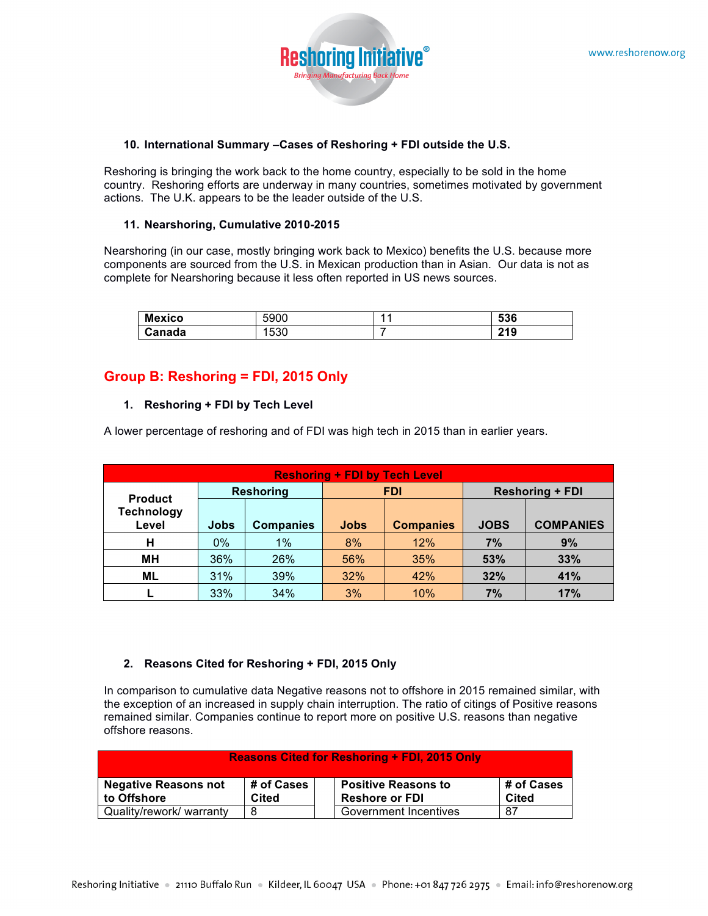

#### **10. International Summary –Cases of Reshoring + FDI outside the U.S.**

Reshoring is bringing the work back to the home country, especially to be sold in the home country. Reshoring efforts are underway in many countries, sometimes motivated by government actions. The U.K. appears to be the leader outside of the U.S.

#### **11. Nearshoring, Cumulative 2010-2015**

Nearshoring (in our case, mostly bringing work back to Mexico) benefits the U.S. because more components are sourced from the U.S. in Mexican production than in Asian. Our data is not as complete for Nearshoring because it less often reported in US news sources.

| <b>Mexico</b> | 5900          | $\overline{\phantom{a}}$ | roc.<br>536         |
|---------------|---------------|--------------------------|---------------------|
| Canada        | . EOC<br>∣ວວ∪ |                          | <b>040</b><br>4 I V |

# **Group B: Reshoring = FDI, 2015 Only**

#### **1. Reshoring + FDI by Tech Level**

A lower percentage of reshoring and of FDI was high tech in 2015 than in earlier years.

| <b>Reshoring + FDI by Tech Level</b>         |             |                  |                                 |            |                        |                  |
|----------------------------------------------|-------------|------------------|---------------------------------|------------|------------------------|------------------|
| <b>Reshoring</b>                             |             |                  |                                 | <b>FDI</b> | <b>Reshoring + FDI</b> |                  |
| <b>Product</b><br><b>Technology</b><br>Level | <b>Jobs</b> | <b>Companies</b> | <b>Jobs</b><br><b>Companies</b> |            | <b>JOBS</b>            | <b>COMPANIES</b> |
| н                                            | 0%          | 1%               | 8%                              | 12%        | 7%                     | 9%               |
| MН                                           | 36%         | 26%              | 56%                             | 35%        | 53%                    | 33%              |
| <b>ML</b>                                    | 31%         | 39%              | 32%                             | 42%        | 32%                    | 41%              |
|                                              | 33%         | 34%              | 3%                              | 10%        | 7%                     | 17%              |

#### **2. Reasons Cited for Reshoring + FDI, 2015 Only**

In comparison to cumulative data Negative reasons not to offshore in 2015 remained similar, with the exception of an increased in supply chain interruption. The ratio of citings of Positive reasons remained similar. Companies continue to report more on positive U.S. reasons than negative offshore reasons.

| <b>Reasons Cited for Reshoring + FDI, 2015 Only</b>                                                                                                    |   |  |                       |    |
|--------------------------------------------------------------------------------------------------------------------------------------------------------|---|--|-----------------------|----|
| # of Cases<br><b>Negative Reasons not</b><br># of Cases<br><b>Positive Reasons to</b><br><b>Reshore or FDI</b><br>to Offshore<br>Cited<br><b>Cited</b> |   |  |                       |    |
| Quality/rework/ warranty                                                                                                                               | 8 |  | Government Incentives | 87 |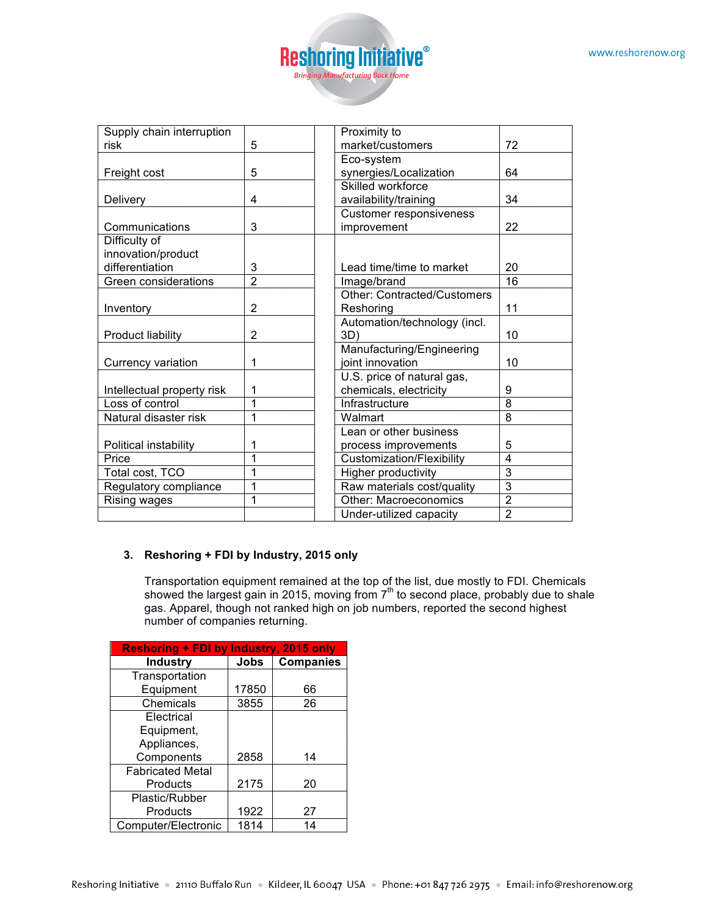

| Supply chain interruption  |                | Proximity to                       |                |
|----------------------------|----------------|------------------------------------|----------------|
| risk                       | 5              | market/customers                   | 72             |
|                            |                | Eco-system                         |                |
| Freight cost               | 5              | synergies/Localization             | 64             |
|                            |                | Skilled workforce                  |                |
| Delivery                   | 4              | availability/training              | 34             |
|                            |                | <b>Customer responsiveness</b>     |                |
| Communications             | 3              | improvement                        | 22             |
| Difficulty of              |                |                                    |                |
| innovation/product         |                |                                    |                |
| differentiation            | 3              | Lead time/time to market           | 20             |
| Green considerations       | $\overline{2}$ | Image/brand                        | 16             |
|                            |                | <b>Other: Contracted/Customers</b> |                |
| Inventory                  | $\overline{2}$ | Reshoring                          | 11             |
|                            |                | Automation/technology (incl.       |                |
| <b>Product liability</b>   | $\overline{2}$ | 3D)                                | 10             |
|                            |                | Manufacturing/Engineering          |                |
| Currency variation         | 1              | joint innovation                   | 10             |
|                            |                | U.S. price of natural gas,         |                |
| Intellectual property risk | 1              | chemicals, electricity             | 9              |
| Loss of control            | 1              | Infrastructure                     | 8              |
| Natural disaster risk      | 1              | Walmart                            | 8              |
|                            |                | Lean or other business             |                |
| Political instability      | 1              | process improvements               | 5              |
| Price                      | 1              | Customization/Flexibility          | 4              |
| Total cost, TCO            | 1              | <b>Higher productivity</b>         | 3              |
| Regulatory compliance      | 1              | Raw materials cost/quality         | $\overline{3}$ |
| Rising wages               | 1              | Other: Macroeconomics              | $\overline{2}$ |
|                            |                | Under-utilized capacity            | $\overline{2}$ |

## **3. Reshoring + FDI by Industry, 2015 only**

Transportation equipment remained at the top of the list, due mostly to FDI. Chemicals showed the largest gain in 2015, moving from  $7<sup>th</sup>$  to second place, probably due to shale gas. Apparel, though not ranked high on job numbers, reported the second highest number of companies returning.

| Reshoring + FDI by Industry, 2015 only |       |                  |  |  |
|----------------------------------------|-------|------------------|--|--|
| <b>Industry</b>                        | Jobs  | <b>Companies</b> |  |  |
| Transportation                         |       |                  |  |  |
| Equipment                              | 17850 | 66               |  |  |
| Chemicals                              | 3855  | 26               |  |  |
| Electrical                             |       |                  |  |  |
| Equipment,                             |       |                  |  |  |
| Appliances,                            |       |                  |  |  |
| Components                             | 2858  | 14               |  |  |
| <b>Fabricated Metal</b>                |       |                  |  |  |
| Products                               | 2175  | 20               |  |  |
| Plastic/Rubber                         |       |                  |  |  |
| Products                               | 1922  | 27               |  |  |
| Computer/Electronic                    | 1814  | 14               |  |  |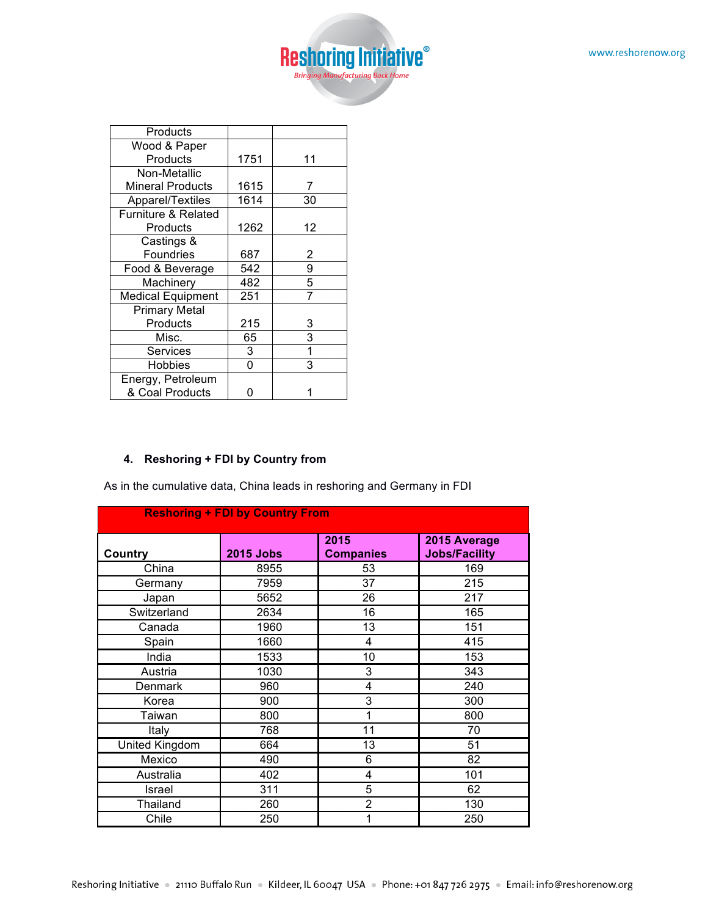

| Products                       |      |    |
|--------------------------------|------|----|
| Wood & Paper                   |      |    |
| Products                       | 1751 | 11 |
| Non-Metallic                   |      |    |
| <b>Mineral Products</b>        | 1615 | 7  |
| Apparel/Textiles               | 1614 | 30 |
| <b>Furniture &amp; Related</b> |      |    |
| Products                       | 1262 | 12 |
| Castings &                     |      |    |
| Foundries                      | 687  | 2  |
| Food & Beverage                | 542  | 9  |
| Machinery                      | 482  | 5  |
| <b>Medical Equipment</b>       | 251  | 7  |
| <b>Primary Metal</b>           |      |    |
| Products                       | 215  | 3  |
| Misc.                          | 65   | 3  |
| Services                       | 3    |    |
| Hobbies                        | 0    | 3  |
| Energy, Petroleum              |      |    |
| & Coal Products                |      |    |

# **4. Reshoring + FDI by Country from**

As in the cumulative data, China leads in reshoring and Germany in FDI

| <b>Reshoring + FDI by Country From</b> |                  |                          |                                      |  |  |
|----------------------------------------|------------------|--------------------------|--------------------------------------|--|--|
| Country                                | <b>2015 Jobs</b> | 2015<br><b>Companies</b> | 2015 Average<br><b>Jobs/Facility</b> |  |  |
| China                                  | 8955             | 53                       | 169                                  |  |  |
| Germany                                | 7959             | 37                       | 215                                  |  |  |
| Japan                                  | 5652             | 26                       | 217                                  |  |  |
| Switzerland                            | 2634             | 16                       | 165                                  |  |  |
| Canada                                 | 1960             | 13                       | 151                                  |  |  |
| Spain                                  | 1660             | 4                        | 415                                  |  |  |
| India                                  | 1533             | 10                       | 153                                  |  |  |
| Austria                                | 1030             | 3                        | 343                                  |  |  |
| Denmark                                | 960              | 4                        | 240                                  |  |  |
| Korea                                  | 900              | 3                        | 300                                  |  |  |
| Taiwan                                 | 800              | 1                        | 800                                  |  |  |
| Italy                                  | 768              | $\overline{11}$          | 70                                   |  |  |
| United Kingdom                         | 664              | 13                       | 51                                   |  |  |
| Mexico                                 | 490              | 6                        | 82                                   |  |  |
| Australia                              | 402              | 4                        | 101                                  |  |  |
| Israel                                 | 311              | 5                        | 62                                   |  |  |
| Thailand                               | 260              | $\overline{2}$           | 130                                  |  |  |
| Chile                                  | 250              |                          | 250                                  |  |  |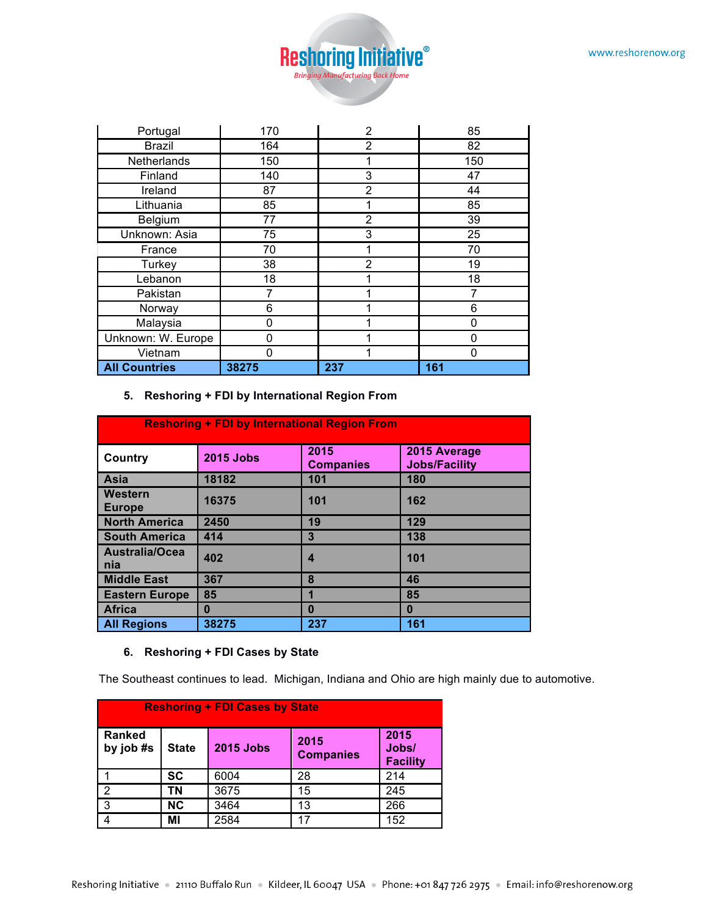

| Portugal             | 170   | 2              | 85       |
|----------------------|-------|----------------|----------|
| <b>Brazil</b>        | 164   | 2              | 82       |
| Netherlands          | 150   |                | 150      |
| Finland              | 140   | 3              | 47       |
| Ireland              | 87    | $\overline{2}$ | 44       |
| Lithuania            | 85    |                | 85       |
| Belgium              | 77    | 2              | 39       |
| Unknown: Asia        | 75    | 3              | 25       |
| France               | 70    |                | 70       |
| Turkey               | 38    | 2              | 19       |
| Lebanon              | 18    |                | 18       |
| Pakistan             | 7     |                | 7        |
| Norway               | 6     |                | 6        |
| Malaysia             | 0     |                | 0        |
| Unknown: W. Europe   | 0     |                | $\Omega$ |
| Vietnam              | 0     |                | 0        |
| <b>All Countries</b> | 38275 | 237            | 161      |

#### **5. Reshoring + FDI by International Region From**

| <b>Reshoring + FDI by International Region From</b> |                  |                          |                                      |  |  |
|-----------------------------------------------------|------------------|--------------------------|--------------------------------------|--|--|
| Country                                             | <b>2015 Jobs</b> | 2015<br><b>Companies</b> | 2015 Average<br><b>Jobs/Facility</b> |  |  |
| Asia                                                | 18182            | 101                      | 180                                  |  |  |
| Western<br><b>Europe</b>                            | 16375            | 101                      | 162                                  |  |  |
| <b>North America</b>                                | 2450             | 19                       | 129                                  |  |  |
| <b>South America</b>                                | 414              | 3                        | 138                                  |  |  |
| Australia/Ocea<br>nia                               | 402              | 4                        | 101                                  |  |  |
| <b>Middle East</b>                                  | 367              | 8                        | 46                                   |  |  |
| <b>Eastern Europe</b>                               | 85               |                          | 85                                   |  |  |
| <b>Africa</b>                                       | 0                | $\mathbf{0}$             | $\bf{0}$                             |  |  |
| <b>All Regions</b>                                  | 38275            | 237                      | 161                                  |  |  |

#### **6. Reshoring + FDI Cases by State**

The Southeast continues to lead. Michigan, Indiana and Ohio are high mainly due to automotive.

| <b>Reshoring + FDI Cases by State</b> |              |                  |                          |                                  |  |
|---------------------------------------|--------------|------------------|--------------------------|----------------------------------|--|
| <b>Ranked</b><br>by job #s            | <b>State</b> | <b>2015 Jobs</b> | 2015<br><b>Companies</b> | 2015<br>Jobs/<br><b>Facility</b> |  |
|                                       | SC           | 6004             | 28                       | 214                              |  |
| 2                                     | ΤN           | 3675             | 15                       | 245                              |  |
| 3                                     | <b>NC</b>    | 3464             | 13                       | 266                              |  |
|                                       | ΜI           | 2584             | 17                       | 152                              |  |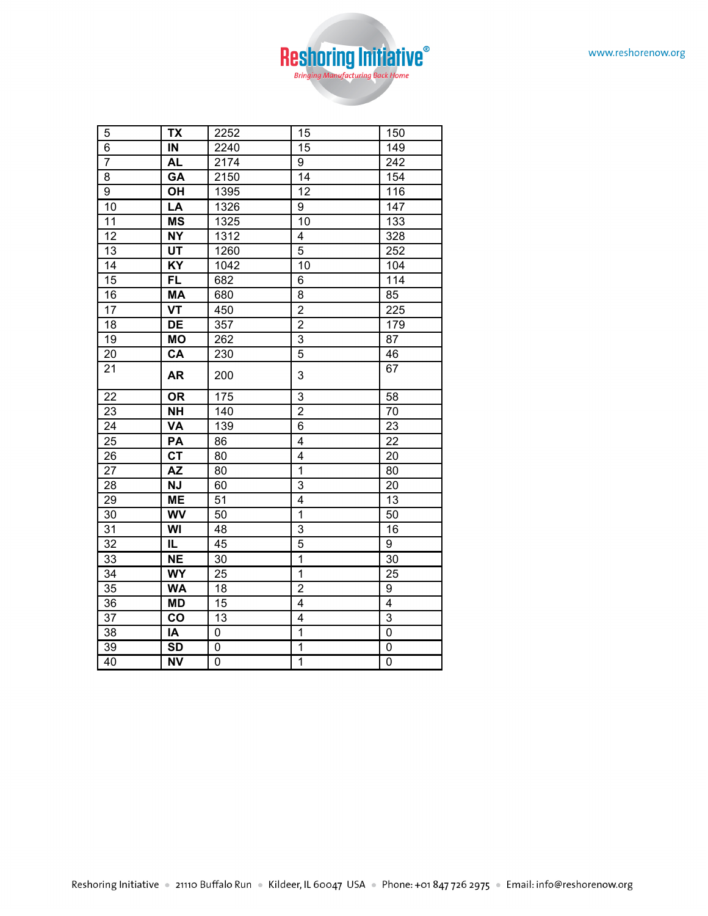

| 5               | <b>TX</b>                 | 2252             | 15                      | 150             |
|-----------------|---------------------------|------------------|-------------------------|-----------------|
| $\overline{6}$  | $\overline{\mathsf{I}}$   | 2240             | $\overline{15}$         | 149             |
| $\overline{7}$  | <b>AL</b>                 | 2174             | 9                       | 242             |
| 8               | GA                        | 2150             | 14                      | 154             |
| 9               | OH                        | 1395             | 12                      | 116             |
| 10              | LA                        | 1326             | 9                       | 147             |
| 11              | <b>MS</b>                 | 1325             | 10                      | 133             |
| $\overline{12}$ | <b>NY</b>                 | 1312             | 4                       | 328             |
| 13              | UT                        | 1260             | 5                       | 252             |
| 14              | $\overline{KY}$           | 1042             | 10                      | 104             |
| 15              | <b>FL</b>                 | 682              | 6                       | 114             |
| 16              | <b>MA</b>                 | 680              | 8                       | 85              |
| 17              | $\overline{\mathsf{v}}$ T | 450              | $\overline{c}$          | 225             |
| 18              | <b>DE</b>                 | $\overline{357}$ | $\overline{2}$          | 179             |
| 19              | <b>MO</b>                 | 262              | 3                       | 87              |
| 20              | CA                        | 230              | 5                       | 46              |
| 21              | <b>AR</b>                 | 200              | 3                       | 67              |
| 22              | <b>OR</b>                 | 175              | 3                       | 58              |
| 23              | <b>NH</b>                 | 140              | $\overline{2}$          | 70              |
| 24              | <b>VA</b>                 | 139              | 6                       | 23              |
| 25              | PA                        | 86               | $\overline{4}$          | 22              |
| 26              | $\overline{\text{CT}}$    | 80               | $\overline{\mathbf{4}}$ | 20              |
| 27              | <b>AZ</b>                 | 80               | $\mathbf{1}$            | 80              |
| 28              | <b>NJ</b>                 | 60               | 3                       | 20              |
| 29              | <b>ME</b>                 | 51               | 4                       | 13              |
| 30              | <b>WV</b>                 | 50               | $\overline{1}$          | 50              |
| 31              | WI                        | 48               | 3                       | 16              |
| $\overline{32}$ | IL.                       | 45               | 5                       | 9               |
| 33              | <b>NE</b>                 | 30               | $\mathbf{1}$            | 30              |
| $\overline{34}$ | <b>WY</b>                 | $\overline{25}$  | $\overline{1}$          | $\overline{25}$ |
| 35              | <b>WA</b>                 | 18               | $\overline{2}$          | 9               |
| 36              | <b>MD</b>                 | 15               | $\overline{4}$          | $\overline{4}$  |
| 37              | co                        | 13               | 4                       | $\overline{3}$  |
| 38              | IA                        | 0                | $\overline{1}$          | $\mathbf 0$     |
| 39              | <b>SD</b>                 | 0                | 1                       | 0               |
| 40              | <b>NV</b>                 | 0                | $\overline{1}$          | 0               |